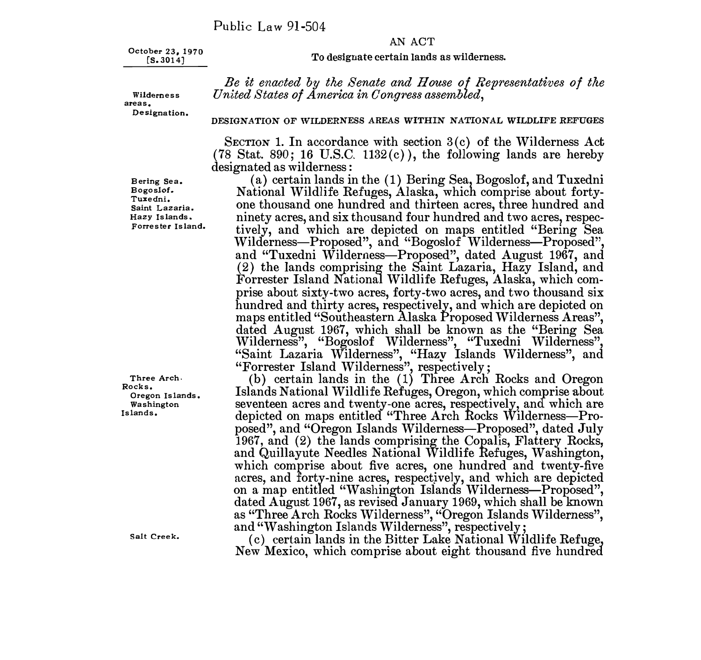## AN ACT

**October 23, 1970 [S.3014]** 

#### To designate certain lands as wilderness.

*Be it enacted by the Senate and House of Representatives of the United States of America in Congress assembled,* 

**Wildemess areas. Designation.** 

### **DESIGNATION OF WILDERNESS AREAS WITHIN NATIONAL WILDLIFE REFUGES**

SECTION 1. In accordance with section 3(c) of the Wilderness Act  $(78 \text{ Stat. } 890; 16 \text{ U.S.C. } 1132(c))$ , the following lands are hereby designated as wilderness :

(a) certain lands in the ( 1) Bering Sea, Bogoslof, and Tuxedni National Wildlife Refuges, Alaska, which comprise about fortyone thousand one hundred and thirteen acres, three hundred and ninety acres, and six thousand four hundred and two acres, respectively, and which are depicted on maps entitled "Bering Sea Wilderness-Proposed", and "Bogoslof Wilderness-Proposed", and "Tuxedni Wilderness-Proposed", dated August 1967, and (2) the lands comprising the Saint Lazaria, Hazy Island, and Forrester Island National Wildlife Refuges, Alaska, which comprise about sixty-two acres, forty-two acres, and two thousand six hundred and thirty acres, respectively, and which are depicted on maps entitled "Southeastern Alaska Proposed Wilderness Areas", dated August 1967, which shall be known as the "Bering Sea Wilderness", "Bogoslof Wilderness", "Tuxedni Wilderness", "Saint Lazaria Wilderness", "Hazy Islands Wilderness", and<br>"Forrester Island Wilderness", respectively;

(b) certain lands in the (1) Three Arch Rocks and Oregon Islands National Wildlife Refuges, Oregon, which comprise about seventeen acres and twenty-one acres, respectively, and which are depicted on maps entitled "Three Arch Rocks Wilderness—Pro-<br>posed", and "Oregon Islands Wilderness—Proposed", dated July 1967, and (2) the lands comprising the Copalis, Flattery Rocks, and Quillayute Needles National Wildlife Refuges, Washington, which comprise about five acres, one hundred and twenty-five acres, and forty-nine acres, respectively, and which are depicted<br>on a map entitled "Washington Islands Wilderness—Proposed", dated August 1967, as revised January 1969, which shall be known as "Three Arch Rocks Wilderness", "Oregon Islands Wilderness", and "Washington Islands Wilderness", respectively;

(c) certain lands in the Bitter Lake National Wildlife Refuge, New Mexico, which comprise about eight thousand five hundred

**B ering Sea. Bogoslof. Tuxedni. Saint Lazaria. Hazy Islands. Forrester Island.** 

**Three Arch, Rocks. Oregon Islands. Washington Islands.** 

**Salt Creek.**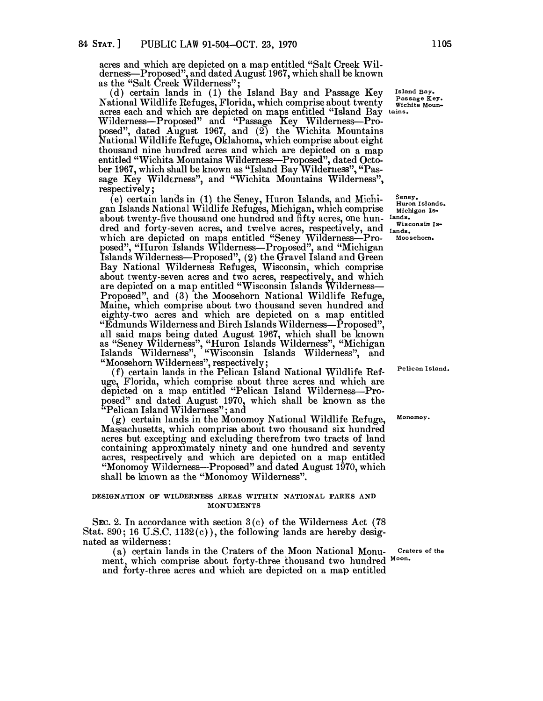acres and which are depicted on a map entitled "Salt Creek Wilderness-Proposed", and dated August 1967, which shall be known

as the "Salt Creek Wilderness"; (d) certain lands in ( 1) the Island Bay and Passage Key National Wildlife Refuges, Florida, which comprise about twenty acres each and which are depicted on maps entitled "Island Bay Wilderness-Proposed" and "Passage Key Wilderness-Proposed", dated August 1967, and  $(2)$  the Wichita Mountains National Wildlife Refuge, Oklahoma, which comprise about eight thousand nine hundred acres and which are depicted on a map entitled "Wichita Mountains Wilderness-Proposed", dated October 1967, which shall be known as "Island Bay Wilderness", "Passage Key Wilderness", and "Wichita Mountains Wilderness", respectively;

(e) certain lands in (1) the Seney, Huron Islands, and Michigan Islands National Wildlife Refuges, Michigan, which comprise about twenty-five thousand one hundred and fifty acres, one hundred and forty-seven acres, and twelve acres, respectively, and which are depicted on maps entitled "Seney Wilderness-Proposed", "Huron Islands Wilderness—Proposed", and "Michigan Islands Wilderness-Proposed", (2) the Gravel Island and Green Bay National Wilderness Refuges, Wisconsin, which comprise about twenty-seven acres and two acres, respectively, and which are depicted on a map entitled "Wisconsin Islands Wilderness-Proposed", and (3) the Moosehorn National Wildlife Refuge, Maine, which comprise about two thousand seven hundred and eighty-two acres and which are depicted on a map entitled "Edmunds Wilderness and Birch Islands Wilderness-Proposed", all said maps being dated August 1967, which shall be known as "Seney Wilderness", "Huron Islands Wilderness", "Michigan Islands Wilderness", "Wisconsin Islands Wilderness", and

"Moosehorn Wilderness", respectively; (f) certain lands in the Pelican Island National Wildlife Refuge, Florida, which comprise about three acres and which are depicted on a map entitled "Pelican Island Wilderness-Proposed" and dated August 1970, which shall be known as the process and allowed the process"; and

 $(g)$  certain lands in the Monomoy National Wildlife Refuge, Massachusetts, which comprise about two thousand six hundred acres but excepting and excluding therefrom two tracts of land containing approximately ninety and one hundred and seventy acres, respectively and which are depicted on a map entitled "Monomoy Wilderness--Proposed" and dated August 1970, which shall be known as the "Monomoy Wilderness".

# **DESIGNATION OF WILDERNESS AREAS WITHIN NATIONAL PARKS AND MONUMENTS**

SEC. 2. In accordance with section  $3(c)$  of the Wilderness Act (78 Stat. 890; 16 U.S.C. 1132 $(c)$ ), the following lands are hereby designated as wilderness:

(a) certain lands in the Craters of the Moon National Monument, which comprise about forty-three thousand two hundred Moon. and forty-three acres and which are depicted on a map entitled

**Island Bay. Passage Key. Wichita Mountains.** 

**Seney.** Huron Islands. **Michigan Islands. Wisconsin Is-**

**lands. Moosehorn.** 

**P elican Island.** 

**Monomoy.** 

**Craters** of the